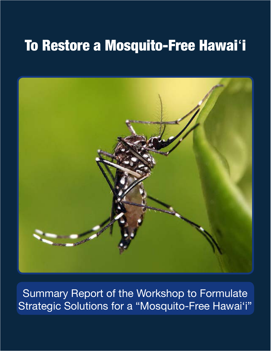

Summary Report of the Workshop to Formulate Strategic Solutions for a "Mosquito-Free Hawai'i"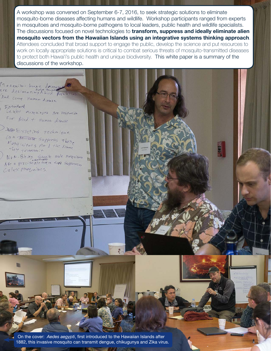A workshop was convened on September 6-7, 2016, to seek strategic solutions to eliminate mosquito-borne diseases afecting humans and wildlife. Workshop participants ranged from experts in mosquitoes and mosquito-borne pathogens to local leaders, public health and wildlife specialists. The discussions focused on novel technologies to **transform, suppress and ideally eliminate alien mosquito vectors from the Hawaiian Islands using an integrative systems thinking approach**. Attendees concluded that broad support to engage the public, develop the science and put resources to work on locally appropriate solutions is critical to combat serious threats of mosquito-transmitted diseases to protect both Hawai'i's public health and unique biodiversity. This white paper is a summary of the discussions of the workshop.

Mosquito-brace deiseas re decimative desease And Corry Haman disease Entraducted<br>Lenter misquitors Are respusible

For Bird + Human disease

betwisting technique Can be  $\overline{u}$  suppress these<br>Mosquitures  $\overline{f}$  in  $\lambda$  the listence

WON-Birms Storite mule misquitos Culex Maguitoes.

> On the cover: *Aedes aegypti*, frst introduced to the Hawaiian Islands after 1882, this invasive mosquito can transmit dengue, chikugunya and Zika virus.

> > $\frac{1}{2}$

酚

斷 n.

> 目 ø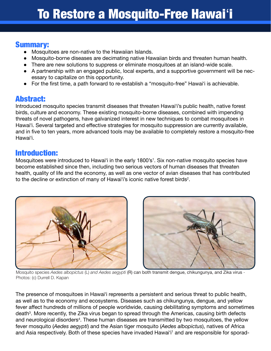### Summary:

- Mosquitoes are non-native to the Hawaiian Islands.
- ● Mosquito-borne diseases are decimating native Hawaiian birds and threaten human health.
- There are new solutions to suppress or eliminate mosquitoes at an island-wide scale.
- A partnership with an engaged public, local experts, and a supportive government will be necessary to capitalize on this opportunity.
- For the first time, a path forward to re-establish a "mosquito-free" Hawai'i is achievable.

### Abstract:

Introduced mosquito species transmit diseases that threaten Hawaiʻi's public health, native forest birds, culture and economy. These existing mosquito-borne diseases, combined with impending threats of novel pathogens, have galvanized interest in new techniques to combat mosquitoes in Hawai'i. Several targeted and effective strategies for mosquito suppression are currently available, and in five to ten years, more advanced tools may be available to completely restore a mosquito-free Hawaiʻi.

### Introduction:

Mosquitoes were introduced to Hawai'i in the early 1800's<sup>1</sup>. Six non-native mosquito species have become established since then, including two serious vectors of human diseases that threaten health, quality of life and the economy, as well as one vector of avian diseases that has contributed to the decline or extinction of many of Hawai'i's iconic native forest birds<sup>2</sup>.





Mosquito species *Aedes albopictus* (L) *and Aedes aegypti* (R) can both transmit dengue, chikungunya, and Zika virus - Photos: (c) Durrell D. Kapan

The presence of mosquitoes in Hawaiʻi represents a persistent and serious threat to public health, as well as to the economy and ecosystems. Diseases such as chikungunya, dengue, and yellow fever afect hundreds of millions of people worldwide, causing debilitating symptoms and sometimes death<sup>3</sup>. More recently, the Zika virus began to spread through the Americas, causing birth defects and neurological disorders<sup>4</sup>. These human diseases are transmitted by two mosquitoes, the yellow fever mosquito (*Aedes aegypti*) and the Asian tiger mosquito (*Aedes albopictus*), natives of Africa and Asia respectively. Both of these species have invaded Hawai'i<sup>1</sup> and are responsible for sporad-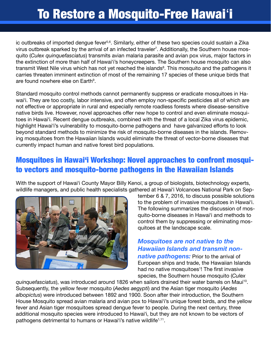ic outbreaks of imported dengue fever<sup>5,6</sup>. Similarly, either of these two species could sustain a Zika virus outbreak sparked by the arrival of an infected traveler<sup>7</sup>. Additionally, the Southern house mosquito (*Culex quinquefasciatus*) transmits avian malaria parasite and avian pox virus, major factors in the extinction of more than half of Hawaiʻi's honeycreepers. The Southern house mosquito can also transmit West Nile virus which has not yet reached the islands<sup>8</sup>. This mosquito and the pathogens it carries threaten imminent extinction of most of the remaining 17 species of these unique birds that are found nowhere else on Earth<sup>9</sup>.

Standard mosquito control methods cannot permanently suppress or eradicate mosquitoes in Hawai'i. They are too costly, labor intensive, and often employ non-specific pesticides all of which are not efective or appropriate in rural and especially remote roadless forests where disease-sensitive native birds live. However, novel approaches offer new hope to control and even eliminate mosquitoes in Hawaiʻi. Recent dengue outbreaks, combined with the threat of a local Zika virus epidemic, highlight Hawaiʻi's vulnerability to mosquito-borne pathogens and have galvanized eforts to look beyond standard methods to minimize the risk of mosquito-borne diseases in the islands. Removing mosquitoes from the Hawaiian Islands would eliminate the threat of vector-borne diseases that currently impact human and native forest bird populations.

## Mosquitoes in Hawaiʻi Workshop: Novel approaches to confront mosquito vectors and mosquito-borne pathogens in the Hawaiian Islands

With the support of Hawaiʻi County Mayor Billy Kenoi, a group of biologists, biotechnology experts, wildlife managers, and public health specialists gathered at Hawaiʻi Volcanoes National Park on Sep-



tember 6 & 7, 2016, to discuss possible solutions to the problem of invasive mosquitoes in Hawaiʻi. The following summarizes the discussion of mosquito-borne diseases in Hawaiʻi and methods to control them by suppressing or eliminating mosquitoes at the landscape scale.

*Mosquitoes are not native to the Hawaiian Islands and transmit nonnative pathogens:* Prior to the arrival of European ships and trade, the Hawaiian Islands had no native mosquitoes<sup>1</sup>! The first invasive species, the Southern house mosquito (*Culex* 

*quinquefasciatus*), was introduced around 1826 when sailors drained their water barrels on Maui10. Subsequently, the yellow fever mosquito (*Aedes aegypti*) and the Asian tiger mosquito (*Aedes albopictus*) were introduced between 1892 and 1900. Soon after their introduction, the Southern House Mosquito spread avian malaria and avian pox to Hawaiʻi's unique forest birds, and the yellow fever and Asian tiger mosquitoes spread dengue fever to people. During the next century, three additional mosquito species were introduced to Hawaiʻi, but they are not known to be vectors of pathogens detrimental to humans or Hawai'i's native wildlife<sup>1,11</sup>.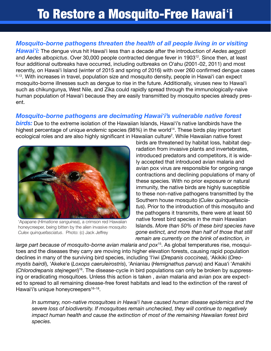#### *Mosquito-borne pathogens threaten the health of all people living in or visiting*

*Hawaiʻi:* The dengue virus hit Hawaiʻi less than a decade after the introduction of *Aedes aegypti* and *Aedes albopictus*. Over 30,000 people contracted dengue fever in 190312. Since then, at least four additional outbreaks have occurred, including outbreaks on Oʻahu (2001-02, 2011) and most recently, on Hawaiʻi Island (winter of 2015 and spring of 2016) with over 260 confrmed dengue cases <sup>6,13</sup>. With increases in travel, population size and mosquito density, people in Hawai'i can expect mosquito-borne illnesses such as dengue to rise in the future. Additionally, viruses new to Hawaiʻi such as chikungunya, West Nile, and Zika could rapidly spread through the immunologically-naive human population of Hawaiʻi because they are easily transmitted by mosquito species already present.

#### *Mosquito-borne pathogens are decimating Hawaiʻi's vulnerable native forest*

*birds:* Due to the extreme isolation of the Hawaiian Islands, Hawaiʻi's native landbirds have the highest percentage of unique endemic species (98%) in the world<sup>14</sup>. These birds play important ecological roles and are also highly significant in Hawaiian culture<sup>2</sup>. While Hawaiian native forest



'Apapane (*Himatione sanguinea*), a crimson red Hawaiian honeycreeper, being bitten by the alien invasive mosquito *Culex quinquefasciatus*. Photo: (c) Jack Jefrey

birds are threatened by habitat loss, habitat degradation from invasive plants and invertebrates, introduced predators and competitors, it is widely accepted that introduced avian malaria and avian pox virus are responsible for ongoing range contractions and declining populations of many of these species. With no prior exposure or natural immunity, the native birds are highly susceptible to these non-native pathogens transmitted by the Southern house mosquito (*Culex quinquefasciatus*). Prior to the introduction of this mosquito and the pathogens it transmits, there were at least 50 native forest bird species in the main Hawaiian Islands. *More than 50% of these bird species have gone extinct, and more than half of those that still remain are currently on the brink of extinction, in* 

*large part because of mosquito-borne avian malaria and pox*15. As global temperatures rise, mosquitoes and the diseases they carry are moving into higher elevation forests, causing rapid population declines in many of the surviving bird species, including ʻIʻiwi (*Drepanis coccinea*), ʻAkikiki (*Oreomystis bairdi*), ʻAkekeʻe (*Loxops caeruleirostris*), ʻAnianiau (*Hemignathus parvus*) and Kauaʻi ʻAmakihi (*Chlorodrepanis stejnegeri*) 16. The disease-cycle in bird populations can only be broken by suppressing or eradicating mosquitoes. Unless this action is taken , avian malaria and avian pox are expected to spread to all remaining disease-free forest habitats and lead to the extinction of the rarest of Hawai'i's unique honeycreepers<sup>16–18</sup>.

*In summary, non-native mosquitoes in Hawaiʻi have caused human disease epidemics and the severe loss of biodiversity. If mosquitoes remain unchecked, they will continue to negatively impact human health and cause the extinction of most of the remaining Hawaiian forest bird species.*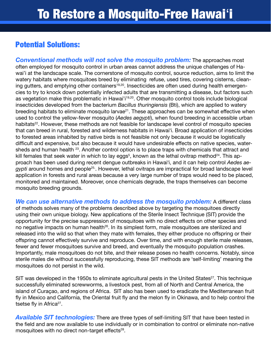## Potential Solutions:

*Conventional methods will not solve the mosquito problem:* The approaches most often employed for mosquito control in urban areas cannot address the unique challenges of Hawai'i at the landscape scale. The cornerstone of mosquito control, source reduction, aims to limit the watery habitats where mosquitoes breed by eliminating refuse, used tires, covering cisterns, cleaning gutters, and emptying other containers<sup>19,20</sup>. Insecticides are often used during health emergencies to try to knock down potentially infected adults that are transmitting a disease, but factors such as vegetation make this problematic in Hawai'i<sup>19,20</sup>. Other mosquito control tools include biological insecticides developed from the bacterium *Bacillus thuringiensis* (Bti), which are applied to watery breeding habitats to eliminate mosquito larvae<sup>21</sup>. These approaches can be somewhat effective when used to control the yellow-fever mosquito (*Aedes aegypti*), when found breeding in accessible urban habitats<sup>22</sup>. However, these methods are not feasible for landscape level control of mosquito species that can breed in rural, forested and wilderness habitats in Hawaiʻi. Broad application of insecticides to forested areas inhabited by native birds is not feasible not only because it would be logistically difficult and expensive, but also because it would have undesirable effects on native species, watersheds and human health <sup>23</sup>. Another control option is to place traps with chemicals that attract and kill females that seek water in which to lay eggs<sup>5</sup>, known as the lethal ovitrap method<sup>24</sup>. This approach has been used during recent dengue outbreaks in Hawaiʻi, and it can help control *Aedes aegypti* around homes and people<sup>25</sup>. However, lethal ovitraps are impractical for broad landscape level application in forests and rural areas because a very large number of traps would need to be placed, monitored and maintained. Moreover, once chemicals degrade, the traps themselves can become mosquito breeding grounds.

*We can use alternative methods to address the mosquito problem:* A diferent class of methods solves many of the problems described above by targeting the mosquitoes directly using their own unique biology. New applications of the Sterile Insect Technique (SIT) provide the opportunity for the precise suppression of mosquitoes with no direct efects on other species and no negative impacts on human health<sup>26</sup>. In its simplest form, male mosquitoes are sterilized and released into the wild so that when they mate with females, they either produce no ofspring or their ofspring cannot efectively survive and reproduce. Over time, and with enough sterile male releases, fewer and fewer mosquitoes survive and breed, and eventually the mosquito population crashes. Importantly, male mosquitoes do not bite, and their release poses no health concerns. Notably, since sterile males die without successfully reproducing, these SIT methods are 'self-limiting' meaning the mosquitoes do not persist in the wild.

SIT was developed in the 1950s to eliminate agricultural pests in the United States<sup>27</sup>. This technique successfully eliminated screwworms, a livestock pest, from all of North and Central America, the island of Curaçao, and regions of Africa. SIT also has been used to eradicate the Mediterranean fruit fly in Mexico and California, the Oriental fruit fly and the melon fly in Okinawa, and to help control the tsetse fly in Africa $27$ .

*Available SIT technologies:* There are three types of self-limiting SIT that have been tested in the field and are now available to use individually or in combination to control or eliminate non-native mosquitoes with no direct non-target effects $28$ .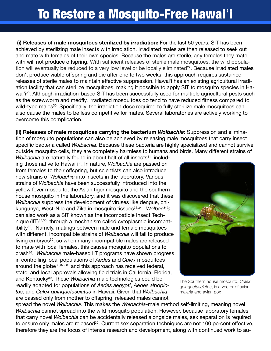**(i) Releases of male mosquitoes sterilized by irradiation:** For the last 50 years, SIT has been achieved by sterilizing male insects with irradiation. Irradiated males are then released to seek out and mate with females of their own species. Because the males are sterile, any females they mate with will not produce offspring. With sufficient releases of sterile male mosquitoes, the wild population will eventually be reduced to a very low level or be locally eliminated $27$ . Because irradiated males don't produce viable offspring and die after one to two weeks, this approach requires sustained releases of sterile males to maintain efective suppression. Hawaiʻi has an existing agricultural irradiation facility that can sterilize mosquitoes, making it possible to apply SIT to mosquito species in Hawai<sup>'</sup>i<sup>29</sup>. Although irradiation-based SIT has been successfully used for multiple agricultural pests such as the screwworm and medfly, irradiated mosquitoes do tend to have reduced fitness compared to wild-type males<sup>30</sup>. Specifically, the irradiation dose required to fully sterilize male mosquitoes can also cause the males to be less competitive for mates. Several laboratories are actively working to overcome this complication.

**(ii) Releases of male mosquitoes carrying the bacterium** *Wolbachia***:** Suppression and elimination of mosquito populations can also be achieved by releasing male mosquitoes that carry insect specifc bacteria called *Wolbachia*. Because these bacteria are highly specialized and cannot survive outside mosquito cells, they are completely harmless to humans and birds. Many diferent strains of

*Wolbachia* are naturally found in about half of all insects<sup>31</sup>, including those native to Hawaiʻi32. In nature, *Wolbachia* are passed on from females to their offspring, but scientists can also introduce new strains of *Wolbachia* into insects in the laboratory. Various strains of *Wolbachia* have been successfully introduced into the yellow fever mosquito, the Asian tiger mosquito and the southern house mosquito in the laboratory, and it was discovered that these *Wolbachia* suppress the development of viruses like dengue, chikungunya, West-Nile and Zika in mosquito tissues<sup>33,34</sup>. *Wolbachia* can also work as a SIT known as the Incompatible Insect Technique (IIT)35,36 through a mechanism called cytoplasmic incompatibility<sup>30</sup>. Namely, matings between male and female mosquitoes with diferent, incompatible strains of *Wolbachia* will fail to produce living embryos<sup>30</sup>, so when many incompatible males are released to mate with local females, this causes mosquito populations to crash36. *Wolbachia* male-based IIT programs have shown progress in controlling local populations of *Aedes* and *Culex* mosquitoes around the globe<sup>30,37,38</sup> and this approach has received federal, state, and local approvals allowing field trials in California, Florida, and Kentucky39. These *Wolbachia*-male technologies could be readily adapted for populations of *Aedes aegypti*, *Aedes albopictus*, and *Culex quinquefasciatus* in Hawaii. Given that *Wolbachia* are passed only from mother to ofspring, released males cannot



The Southern house mosquito, *Culex quinquefasciatus*, is a vector of avian malaria and avian pox

spread the novel *Wolbachia*. This makes the *Wolbachia*-male method self-limiting, meaning novel *Wolbachia* cannot spread into the wild mosquito population. However, because laboratory females that carry novel *Wolbachia* can be accidentally released alongside males, sex separation is required to ensure only males are released<sup>30</sup>. Current sex separation techniques are not 100 percent effective, therefore they are the focus of intense research and development, along with continued work to au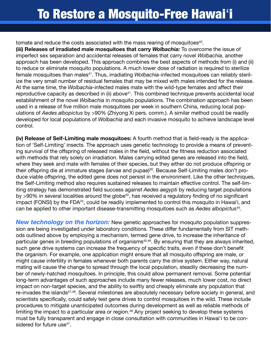tomate and reduce the costs associated with the mass rearing of mosquitoes<sup>40</sup>.

**(iii) Releases of irradiated male mosquitoes that carry** *Wolbachia:* To overcome the issue of imperfect sex separation and accidental releases of females that carry novel *Wolbachia*, another approach has been developed. This approach combines the best aspects of methods from (i) and (ii) to reduce or eliminate mosquito populations. A much lower dose of radiation is required to sterilize female mosquitoes than males<sup>41</sup>. Thus, irradiating *Wolbachia*-infected mosquitoes can reliably sterilize the very small number of residual females that may be mixed with males intended for the release. At the same time, the *Wolbachia*-infected males mate with the wild-type females and afect their reproductive capacity as described in (ii) above<sup>41</sup>. This combined technique prevents accidental local establishment of the novel *Wolbachia* in mosquito populations. The combination approach has been used in a release of fve million male mosquitoes per week in southern China, reducing local populations of *Aedes albopictus* by >90% (Zhiyong Xi pers. comm.). A similar method could be readily developed for local populations of *Wolbachia* and each invasive mosquito to achieve landscape level control.

**(iv) Release of Self-Limiting male mosquitoes:** A fourth method that is feld-ready is the application of 'Self-Limiting' insects. The approach uses genetic technology to provide a means of preventing survival of the offspring of released males in the field, without the fitness reduction associated with methods that rely solely on irradiation. Males carrying edited genes are released into the field, where they seek and mate with females of their species, but they either do not produce offspring or their offspring die at immature stages (larvae and pupae)<sup>26</sup>. Because Self-Limiting males don't produce viable offspring, the edited gene does not persist in the environment. Like the other techniques, the Self-Limiting method also requires sustained releases to maintain efective control. The self-limiting strategy has demonstrated feld success against *Aedes aegypti* by reducing target populations by  $>90\%$  in several localities around the globe<sup>42</sup>, has received a regulatory finding of no significant impact (FONSI) by the FDA<sup>43</sup>, could be readily implemented to control this mosquito in Hawai'i, and can be applied to other important disease-transmitting mosquitoes such as *Aedes albopictus*44.

*New technology on the horizon:* New genetic approaches for mosquito population suppression are being investigated under laboratory conditions. These difer fundamentally from SIT methods outlined above by employing a mechanism, termed gene drive, to increase the inheritance of particular genes in breeding populations of organisms<sup>45,46</sup>. By ensuring that they are always inherited, such gene drive systems can increase the frequency of specific traits, even if these don't benefit the organism. For example, one application might ensure that all mosquito ofspring are male, or might cause infertility in females whenever both parents carry the drive system. Either way, natural mating will cause the change to spread through the local population, steadily decreasing the number of newly-hatched mosquitoes. In principle, this could allow permanent removal. Some potential long-term advantages of such approaches include many fewer releases, much lower cost, no direct impact on non-target species, and the ability to swiftly and cheaply eliminate any population that re-invades the islands<sup>47,48</sup>. Several milestones are absolutely necessary before society in general, and scientists specifically, could safely test gene drives to control mosquitoes in the wild. These include procedures to mitigate unanticipated outcomes during development as well as reliable methods of limiting the impact to a particular area or region.<sup>48</sup> Any project seeking to develop these systems must be fully transparent and engage in close consultation with communities in Hawai'i to be considered for future use<sup>47</sup>.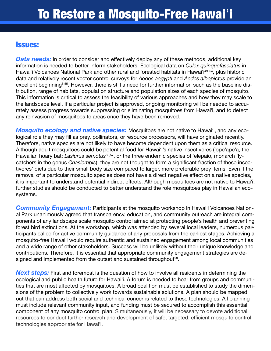### Issues:

**Data needs:** In order to consider and effectively deploy any of these methods, additional key information is needed to better inform stakeholders. Ecological data on *Culex quinquefasciatus* in Hawai'i Volcanoes National Park and other rural and forested habitats in Hawai'i<sup>49-54</sup>, plus historic data and relatively recent vector control surveys for *Aedes aegypti* and *Aedes albopictus* provide an excellent beginning<sup>5,55</sup>. However, there is still a need for further information such as the baseline distribution, range of habitats, population structure and population sizes of each species of mosquito. This information is critical to assess the feasibility of various approaches and how they may scale to the landscape level. If a particular project is approved, ongoing monitoring will be needed to accurately assess progress towards suppressing or eliminating mosquitoes from Hawaiʻi, and to detect any reinvasion of mosquitoes to areas once they have been removed.

*Mosquito ecology and native species:* Mosquitoes are not native to Hawaiʻi, and any ecological role they may fill as prey, pollinators, or resource processors, will have originated recently. Therefore, native species are not likely to have become dependent upon them as a critical resource. Although adult mosquitoes could be potential food for Hawaiʻi's native insectivores (ʻōpeʻapeʻa, the Hawaiian hoary bat; *Lasiurus semotus*56,57, or the three endemic species of ʻelepaio, monarch fycatchers in the genus *Chasiempis*), they are not thought to form a signifcant fraction of these insectivores' diets due to their small body size compared to larger, more preferable prey items. Even if the removal of a particular mosquito species does not have a direct negative effect on a native species, it is important to understand potential indirect efects. Although mosquitoes are not native to Hawaiʻi, further studies should be conducted to better understand the role mosquitoes play in Hawaiian ecosystems.

*Community Engagement:* Participants at the mosquito workshop in Hawaiʻi Volcanoes National Park unanimously agreed that transparency, education, and community outreach are integral components of any landscape scale mosquito control aimed at protecting people's health and preventing forest bird extinctions. At the workshop, which was attended by several local leaders, numerous participants called for active community guidance of any proposals from the earliest stages. Achieving a mosquito-free Hawaiʻi would require authentic and sustained engagement among local communities and a wide range of other stakeholders. Success will be unlikely without their unique knowledge and contributions. Therefore, it is essential that appropriate community engagement strategies are designed and implemented from the outset and sustained throughout<sup>58</sup>.

**Next steps:** First and foremost is the question of how to involve all residents in determining the ecological and public health future for Hawaiʻi. A forum is needed to hear from groups and communities that are most afected by mosquitoes. A broad coalition must be established to study the dimensions of the problem to collectively work towards sustainable solutions. A plan should be mapped out that can address both social and technical concerns related to these technologies. All planning must include relevant community input, and funding must be secured to accomplish this essential component of any mosquito control plan. Simultaneously, it will be necessary to devote additional resources to conduct further research and development of safe, targeted, efficient mosquito control technologies appropriate for Hawaiʻi.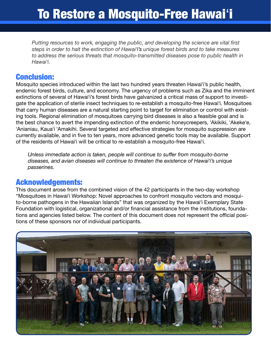*Putting resources to work, engaging the public, and developing the science are vital frst steps in order to halt the extinction of Hawaiʻi's unique forest birds and to take measures to address the serious threats that mosquito-transmitted diseases pose to public health in Hawaiʻi.*

### Conclusion:

Mosquito species introduced within the last two hundred years threaten Hawaiʻi's public health, endemic forest birds, culture, and economy. The urgency of problems such as Zika and the imminent extinctions of several of Hawaiʻi's forest birds have galvanized a critical mass of support to investigate the application of sterile insect techniques to re-establish a mosquito-free Hawaiʻi. Mosquitoes that carry human diseases are a natural starting point to target for elimination or control with existing tools. Regional elimination of mosquitoes carrying bird diseases is also a feasible goal and is the best chance to avert the impending extinction of the endemic honeycreepers, ʻAkikiki, ʻAkekeʻe, ʻAnianiau, Kauaʻi ʻAmakihi. Several targeted and efective strategies for mosquito suppression are currently available, and in five to ten years, more advanced genetic tools may be available. Support of the residents of Hawaiʻi will be critical to re-establish a mosquito-free Hawaiʻi.

*Unless immediate action is taken, people will continue to sufer from mosquito-borne diseases, and avian diseases will continue to threaten the existence of Hawaiʻi's unique passerines.*

#### Acknowledgements:

This document arose from the combined vision of the 42 participants in the two-day workshop "Mosquitoes in Hawaiʻi Workshop: Novel approaches to confront mosquito vectors and mosquito-borne pathogens in the Hawaiian Islands" that was organized by the Hawaiʻi Exemplary State Foundation with logistical, organizational and/or fnancial assistance from the institutions, foundations and agencies listed below. The content of this document does not represent the official positions of these sponsors nor of individual participants.

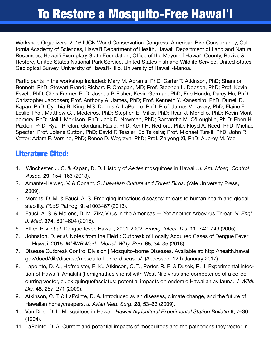Workshop Organizers: 2016 IUCN World Conservation Congress, American Bird Conservancy, California Academy of Sciences, Hawaiʻi Department of Health, Hawaiʻi Department of Land and Natural Resources, Hawai'i Exemplary State Foundation, Office of the Mayor of Hawai'i County, Revive & Restore, United States National Park Service, United States Fish and Wildlife Service, United States Geological Survey, University of Hawaiʻi-Hilo, University of Hawaiʻi-Manoa.

Participants in the workshop included: Mary M. Abrams, PhD; Carter T. Atkinson, PhD; Shannon Bennett, PhD; Stewart Brand; Richard P. Creagan, MD; Prof. Stephen L. Dobson, PhD; Prof. Kevin Esvelt, PhD; Chris Farmer, PhD; Joshua P. Fisher; Kevin Gorman, PhD; Eric Honda; Darcy Hu, PhD; Christopher Jacobsen; Prof. Anthony A. James, PhD; Prof. Kenneth Y. Kaneshiro, PhD; Durrell D. Kapan, PhD; Cynthia B. King, MS; Dennis A. LaPointe, PhD; Prof. James V. Lavery, PhD; Elaine F. Leslie; Prof. Matthew C.I. Medeiros, PhD; Stephen E. Miller, PhD; Ryan J. Monello, PhD; Kevin Montgomery, PhD; Neil I. Morrison, PhD; Jack D. Newman, PhD; Samantha M. O'Loughlin, Ph.D; Eben H. Paxton, PhD; Ryan Phelan; Gordana Rasic, PhD; Kent H. Redford, PhD; Floyd A. Reed, PhD; Michael Specter; Prof. Jolene Sutton, PhD; David F. Tessler; Ed Teixeira; Prof. Michael Turelli, PhD; John P. Vetter; Adam E. Vorsino, PhD; Renee D. Wegrzyn, PhD; Prof. Zhiyong Xi, PhD; Aubrey M. Yee.

## Literature Cited:

- 1. Winchester, J. C. & Kapan, D. D. History of *Aedes* mosquitoes in Hawaii. *J. Am. Mosq. Control Assoc.* **29**, 154–163 (2013).
- 2. Amante-Helweg, V. & Conant, S. *Hawaiian Culture and Forest Birds*. (Yale University Press, 2009).
- 3. Morens, D. M. & Fauci, A. S. Emerging infectious diseases: threats to human health and global stability. *PLoS* Pathog. **9**, e1003467 (2013).
- 4. Fauci, A. S. & Morens, D. M. Zika Virus in the Americas Yet Another Arbovirus Threat. *N. Engl. J. Med.* **374**, 601–604 (2016).
- 5. Efer, P. V. *et al*. Dengue fever, Hawaii, 2001-2002. *Emerg. Infect. Dis.* **11**, 742–749 (2005).
- 6. Johnston, D. *et al.* Notes from the Field : Outbreak of Locally Acquired Cases of Dengue Fever — Hawaii, 2015. *MMWR Morb. Mortal. Wkly. Rep.* **65**, 34–35 (2016).
- 7. Disease Outbreak Control Division | Mosquito-borne Diseases. Available at: http://health.hawaii. gov/docd/dib/disease/mosquito-borne-diseases/. (Accessed: 12th January 2017)
- 8. Lapointe, D. A., Hofmeister, E. K., Atkinson, C. T., Porter, R. E. & Dusek, R. J. Experimental infection of Hawai'i 'Amakihi (hemignathus virens) with West Nile virus and competence of a co-occurring vector, culex quinquefasciatus: potential impacts on endemic Hawaiian avifauna. *J. Wildl. Dis.* **45**, 257–271 (2009).
- 9. Atkinson, C. T. & LaPointe, D. A. Introduced avian diseases, climate change, and the future of Hawaiian honeycreepers. *J. Avian Med. Surg.* **23**, 53–63 (2009).
- 10. Van Dine, D. L. Mosquitoes in Hawaii. *Hawaii Agricultural Experimental Station Bulletin* **6**, 7–30 (1904).
- 11. LaPointe, D. A. Current and potential impacts of mosquitoes and the pathogens they vector in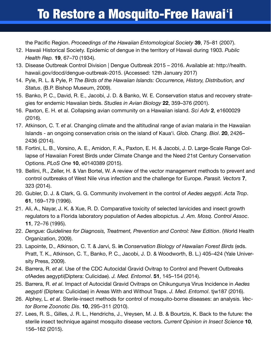the Pacific Region. *Proceedings of the Hawaiian Entomological Society* 39, 75–81 (2007).

- 12. Hawaii Historical Society. Epidemic of dengue in the territory of Hawaii during 1903. *Public Health Rep.* **19**, 67–70 (1934).
- 13. Disease Outbreak Control Division | Dengue Outbreak 2015 2016. Available at: http://health. hawaii.gov/docd/dengue-outbreak-2015. (Accessed: 12th January 2017)
- 14. Pyle, R. L. & Pyle, P. *The Birds of the Hawaiian Islands: Occurrence, History, Distribution, and Status*. (B.P. Bishop Museum, 2009).
- 15. Banko, P. C., David, R. E., Jacobi, J. D. & Banko, W. E. Conservation status and recovery strategies for endemic Hawaiian birds. *Studies in Avian Biology* **22**, 359–376 (2001).
- 16. Paxton, E. H. et al. Collapsing avian community on a Hawaiian island. *Sci Adv* **2**, e1600029 (2016).
- 17. Atkinson, C. T. *et al*. Changing climate and the altitudinal range of avian malaria in the Hawaiian Islands - an ongoing conservation crisis on the island of Kaua'i. *Glob. Chang. Biol*. **20**, 2426– 2436 (2014).
- 18. Fortini, L. B., Vorsino, A. E., Amidon, F. A., Paxton, E. H. & Jacobi, J. D. Large-Scale Range Collapse of Hawaiian Forest Birds under Climate Change and the Need 21st Century Conservation Options. *PLoS One* **10**, e0140389 (2015).
- 19. Bellini, R., Zeller, H. & Van Bortel, W. A review of the vector management methods to prevent and control outbreaks of West Nile virus infection and the challenge for Europe. *Parasit. Vectors* **7**, 323 (2014).
- 20. Gubler, D. J. & Clark, G. G. Community involvement in the control of *Aedes aegypti*. *Acta Trop*. **61**, 169–179 (1996).
- 21. Ali, A., Nayar, J. K. & Xue, R. D. Comparative toxicity of selected larvicides and insect growth regulators to a Florida laboratory population of Aedes albopictus. *J. Am. Mosq. Control Assoc*. **11**, 72–76 (1995).
- 22. *Dengue: Guidelines for Diagnosis, Treatment, Prevention and Control: New Edition*. (World Health Organization, 2009).
- 23. Lapointe, D., Atkinson, C. T. & Jarvi, S. **in** *Conservation Biology of Hawaiian Forest Birds* (eds. Pratt, T. K., Atkinson, C. T., Banko, P. C., Jacobi, J. D. & Woodworth, B. L.) 405–424 (Yale University Press, 2009).
- 24. Barrera, R. *et al*. Use of the CDC Autocidal Gravid Ovitrap to Control and Prevent Outbreaks ofAedes aegypti(Diptera: Culicidae). *J. Med. Entomol*. **51**, 145–154 (2014).
- 25. Barrera, R. *et al*. Impact of Autocidal Gravid Ovitraps on Chikungunya Virus Incidence in *Aedes aegypti* (Diptera: Culicidae) in Areas With and Without Traps. *J. Med. Entomol*. tjw187 (2016).
- 26. Alphey, L. *et al*. Sterile-insect methods for control of mosquito-borne diseases: an analysis. *Vector Borne Zoonotic Dis*. **10**, 295–311 (2010).
- 27. Lees, R. S., Gilles, J. R. L., Hendrichs, J., Vreysen, M. J. B. & Bourtzis, K. Back to the future: the sterile insect technique against mosquito disease vectors. *Current Opinion in Insect Science* **10**, 156–162 (2015).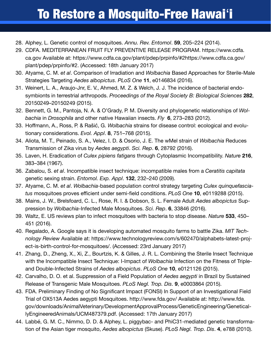- 28. Alphey, L. Genetic control of mosquitoes. *Annu. Rev. Entomol*. **59**, 205–224 (2014).
- 29. CDFA. MEDITERRANEAN FRUIT FLY PREVENTIVE RELEASE PROGRAM. https://www.cdfa. ca.gov Available at: https://www.cdfa.ca.gov/plant/pdep/prpinfo/#2https://www.cdfa.ca.gov/ plant/pdep/prpinfo/#2. (Accessed: 18th January 2017)
- 30. Atyame, C. M. *et al*. Comparison of Irradiation and *Wolbachia* Based Approaches for Sterile-Male Strategies Targeting *Aedes albopictus*. *PLoS One* **11**, e0146834 (2016).
- 31. Weinert, L. A., Araujo-Jnr, E. V., Ahmed, M. Z. & Welch, J. J. The incidence of bacterial endosymbionts in terrestrial arthropods. *Proceedings of the Royal Society B: Biological Sciences* **282**, 20150249–20150249 (2015).
- 32. Bennett, G. M., Pantoja, N. A. & O'Grady, P. M. Diversity and phylogenetic relationships of *Wolbachia* in *Drosophila* and other native Hawaiian insects. *Fly* **6**, 273–283 (2012).
- 33. Hofmann, A., Ross, P. & Rašić, G. *Wolbachia* strains for disease control: ecological and evolutionary considerations. *Evol. Appl*. **8**, 751–768 (2015).
- 34. Aliota, M. T., Peinado, S. A., Velez, I. D. & Osorio, J. E. The wMel strain of *Wolbachia* Reduces Transmission of Zika virus by *Aedes aegypti*. *Sci. Rep*. **6**, 28792 (2016).
- 35. Laven, H. Eradication of *Culex pipiens fatigans* through Cytoplasmic Incompatibility. *Nature* **216**, 383–384 (1967).
- 36. Zabalou, S. *et al*. Incompatible insect technique: incompatible males from a *Ceratitis capitata* genetic sexing strain. *Entomol. Exp. Appl*. **132**, 232–240 (2009).
- 37. Atyame, C. M. *et al*. *Wolbachia*-based population control strategy targeting *Culex quinquefasciatus* mosquitoes proves efficient under semi-field conditions. *PLoS One* **10**, e0119288 (2015).
- 38. Mains, J. W., Brelsfoard, C. L., Rose, R. I. & Dobson, S. L. Female Adult *Aedes albopictus* Suppression by *Wolbachia*-Infected Male Mosquitoes. *Sci. Rep*. **6**, 33846 (2016).
- 39. Waltz, E. US reviews plan to infect mosquitoes with bacteria to stop disease. *Nature* **533**, 450– 451 (2016).
- 40. Regalado, A. Google says it is developing automated mosquito farms to battle Zika. *MIT Technology Review* Available at: https://www.technologyreview.com/s/602470/alphabets-latest-project-is-birth-control-for-mosquitoes/. (Accessed: 23rd January 2017)
- 41. Zhang, D., Zheng, X., Xi, Z., Bourtzis, K. & Gilles, J. R. L. Combining the Sterile Insect Technique with the Incompatible Insect Technique: I-Impact of *Wolbachia* Infection on the Fitness of Tripleand Double-Infected Strains of *Aedes albopictus*. *PLoS One* **10**, e0121126 (2015).
- 42. Carvalho, D. O. et al. Suppression of a Field Population of *Aedes aegypti* in Brazil by Sustained Release of Transgenic Male Mosquitoes. *PLoS Negl. Trop. Dis*. **9**, e0003864 (2015).
- 43. FDA. Preliminary Finding of No Signifcant Impact (FONSI) In Support of an Investigational Field Trial of OX513A Aedes aegypti Mosquitoes. http://www.fda.gov/ Available at: http://www.fda. gov/downloads/AnimalVeterinary/DevelopmentApprovalProcess/GeneticEngineering/GeneticallyEngineeredAnimals/UCM487379.pdf. (Accessed: 17th January 2017)
- 44. Labbé, G. M. C., Nimmo, D. D. & Alphey, L. piggybac- and PhiC31-mediated genetic transformation of the Asian tiger mosquito, *Aedes albopictus* (Skuse). *PLoS Negl. Trop. Dis*. **4**, e788 (2010).